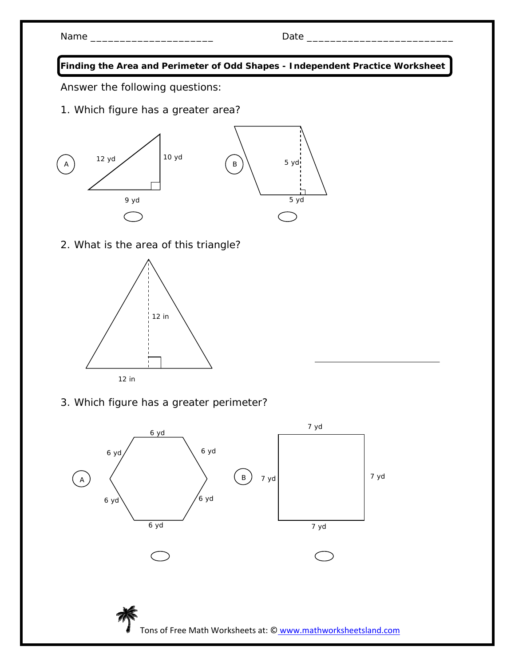| N <sub>2</sub> | -- |
|----------------|----|
|                |    |

**Finding the Area and Perimeter of Odd Shapes - Independent Practice Worksheet** 

Answer the following questions:

1. Which figure has a greater area?



2. What is the area of this triangle?



3. Which figure has a greater perimeter?

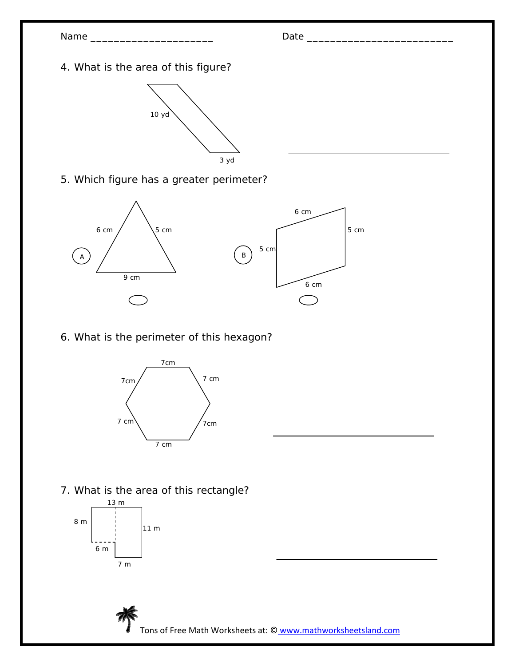



5. Which figure has a greater perimeter?



6. What is the perimeter of this hexagon?



7. What is the area of this rectangle?



Tons of Free Math Worksheets at: © www.mathworksheetsland.com